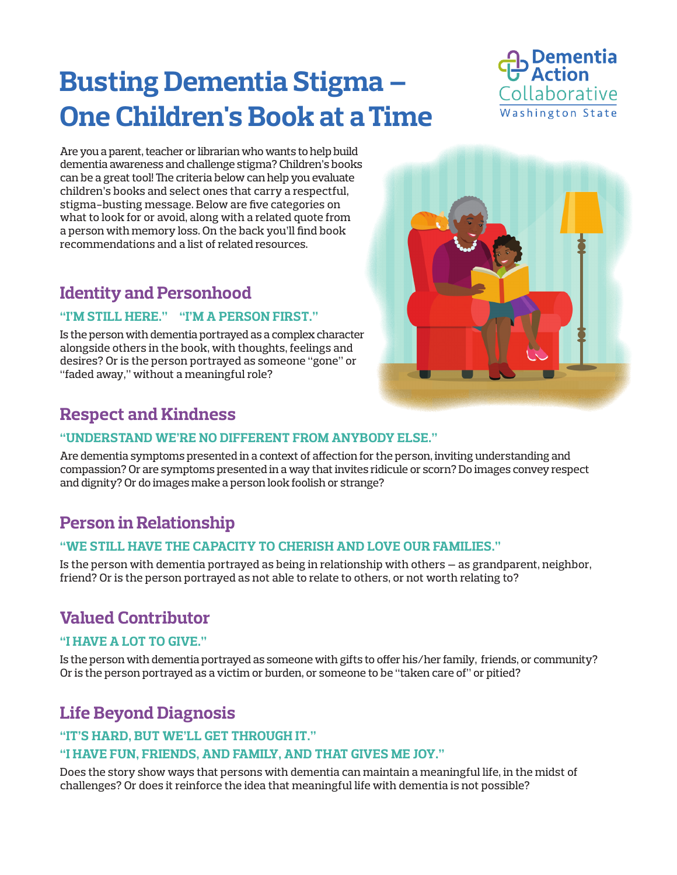# **Busting Dementia Stigma – One Children's Book at a Time**



Are you a parent, teacher or librarian who wants to help build dementia awareness and challenge stigma? Children's books can be a great tool! The criteria below can help you evaluate children's books and select ones that carry a respectful, stigma-busting message. Below are five categories on what to look for or avoid, along with a related quote from a person with memory loss. On the back you'll find book recommendations and a list of related resources.

# **Identity and Personhood**

## **"I'M STILL HERE." "I'M A PERSON FIRST."**

Is the person with dementia portrayed as a complex character alongside others in the book, with thoughts, feelings and desires? Or is the person portrayed as someone "gone" or "faded away," without a meaningful role?



# **Respect and Kindness**

#### **"UNDERSTAND WE'RE NO DIFFERENT FROM ANYBODY ELSE."**

Are dementia symptoms presented in a context of affection for the person, inviting understanding and compassion? Or are symptoms presented in a way that invites ridicule or scorn? Do images convey respect and dignity? Or do images make a person look foolish or strange?

# **Person in Relationship**

## **"WE STILL HAVE THE CAPACITY TO CHERISH AND LOVE OUR FAMILIES."**

Is the person with dementia portrayed as being in relationship with others — as grandparent, neighbor, friend? Or is the person portrayed as not able to relate to others, or not worth relating to?

# **Valued Contributor**

## **"I HAVE A LOT TO GIVE."**

Is the person with dementia portrayed as someone with gifts to offer his/her family, friends, or community? Or is the person portrayed as a victim or burden, or someone to be "taken care of" or pitied?

# **Life Beyond Diagnosis**

## **"IT'S HARD, BUT WE'LL GET THROUGH IT." "I HAVE FUN, FRIENDS, AND FAMILY, AND THAT GIVES ME JOY."**

Does the story show ways that persons with dementia can maintain a meaningful life, in the midst of challenges? Or does it reinforce the idea that meaningful life with dementia is not possible?